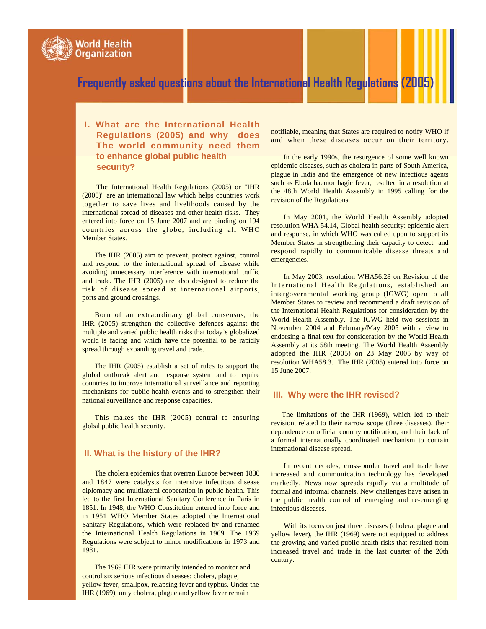

## **I. What are the International Health Regulations (2005) and why does The world community need them to enhance global public health security?**

The International Health Regulations (2005) or "IHR (2005)" are an international law which helps countries work together to save lives and livelihoods caused by the international spread of diseases and other health risks. They entered into force on 15 June 2007 and are binding on 194 countries across the globe, including all WHO Member States.

The IHR (2005) aim to prevent, protect against, control and respond to the international spread of disease while avoiding unnecessary interference with international traffic and trade. The IHR (2005) are also designed to reduce the risk of disease spread at international airports, ports and ground crossings.

Born of an extraordinary global consensus, the IHR (2005) strengthen the collective defences against the multiple and varied public health risks that today's globalized world is facing and which have the potential to be rapidly spread through expanding travel and trade.

The IHR (2005) establish a set of rules to support the global outbreak alert and response system and to require countries to improve international surveillance and reporting mechanisms for public health events and to strengthen their national surveillance and response capacities.

This makes the IHR (2005) central to ensuring global public health security.

#### **II. What is the history of the IHR?**

The cholera epidemics that overran Europe between 1830 and 1847 were catalysts for intensive infectious disease diplomacy and multilateral cooperation in public health. This led to the first International Sanitary Conference in Paris in 1851. In 1948, the WHO Constitution entered into force and in 1951 WHO Member States adopted the International Sanitary Regulations, which were replaced by and renamed the International Health Regulations in 1969. The 1969 Regulations were subject to minor modifications in 1973 and 1981.

The 1969 IHR were primarily intended to monitor and control six serious infectious diseases: cholera, plague, yellow fever, smallpox, relapsing fever and typhus. Under the IHR (1969), only cholera, plague and yellow fever remain

notifiable, meaning that States are required to notify WHO if and when these diseases occur on their territory.

In the early 1990s, the resurgence of some well known epidemic diseases, such as cholera in parts of South America, plague in India and the emergence of new infectious agents such as Ebola haemorrhagic fever, resulted in a resolution at the 48th World Health Assembly in 1995 calling for the revision of the Regulations.

In May 2001, the World Health Assembly adopted resolution WHA 54.14, Global health security: epidemic alert and response, in which WHO was called upon to support its Member States in strengthening their capacity to detect and respond rapidly to communicable disease threats and emergencies.

In May 2003, resolution WHA56.28 on Revision of the International Health Regulations, established an intergovernmental working group (IGWG) open to all Member States to review and recommend a draft revision of the International Health Regulations for consideration by the World Health Assembly. The IGWG held two sessions in November 2004 and February/May 2005 with a view to endorsing a final text for consideration by the World Health Assembly at its 58th meeting. The World Health Assembly adopted the IHR (2005) on 23 May 2005 by way of resolution WHA58.3. The IHR (2005) entered into force on 15 June 2007.

#### **III. Why were the IHR revised?**

The limitations of the IHR (1969), which led to their revision, related to their narrow scope (three diseases), their dependence on official country notification, and their lack of a formal internationally coordinated mechanism to contain international disease spread.

In recent decades, cross-border travel and trade have increased and communication technology has developed markedly. News now spreads rapidly via a multitude of formal and informal channels. New challenges have arisen in the public health control of emerging and re-emerging infectious diseases.

With its focus on just three diseases (cholera, plague and yellow fever), the IHR (1969) were not equipped to address the growing and varied public health risks that resulted from increased travel and trade in the last quarter of the 20th century.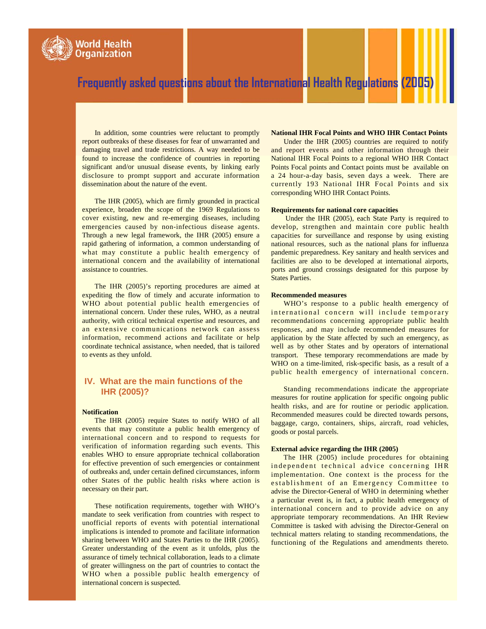

In addition, some countries were reluctant to promptly report outbreaks of these diseases for fear of unwarranted and damaging travel and trade restrictions. A way needed to be found to increase the confidence of countries in reporting significant and/or unusual disease events, by linking early disclosure to prompt support and accurate information dissemination about the nature of the event.

The IHR (2005), which are firmly grounded in practical experience, broaden the scope of the 1969 Regulations to cover existing, new and re-emerging diseases, including emergencies caused by non-infectious disease agents. Through a new legal framework, the IHR (2005) ensure a rapid gathering of information, a common understanding of what may constitute a public health emergency of international concern and the availability of international assistance to countries.

The IHR (2005)'s reporting procedures are aimed at expediting the flow of timely and accurate information to WHO about potential public health emergencies of international concern. Under these rules, WHO, as a neutral authority, with critical technical expertise and resources, and an extensive communications network can assess information, recommend actions and facilitate or help coordinate technical assistance, when needed, that is tailored to events as they unfold.

#### **IV. What are the main functions of the IHR (2005)?**

#### **Notification**

The IHR (2005) require States to notify WHO of all events that may constitute a public health emergency of international concern and to respond to requests for verification of information regarding such events. This enables WHO to ensure appropriate technical collaboration for effective prevention of such emergencies or containment of outbreaks and, under certain defined circumstances, inform other States of the public health risks where action is necessary on their part.

These notification requirements, together with WHO's mandate to seek verification from countries with respect to unofficial reports of events with potential international implications is intended to promote and facilitate information sharing between WHO and States Parties to the IHR (2005). Greater understanding of the event as it unfolds, plus the assurance of timely technical collaboration, leads to a climate of greater willingness on the part of countries to contact the WHO when a possible public health emergency of international concern is suspected.

#### **National IHR Focal Points and WHO IHR Contact Points**

Under the IHR (2005) countries are required to notify and report events and other information through their National IHR Focal Points to a regional WHO IHR Contact Points Focal points and Contact points must be available on a 24 hour-a-day basis, seven days a week. There are currently 193 National IHR Focal Points and six corresponding WHO IHR Contact Points.

#### **Requirements for national core capacities**

Under the IHR (2005), each State Party is required to develop, strengthen and maintain core public health capacities for surveillance and response by using existing national resources, such as the national plans for influenza pandemic preparedness. Key sanitary and health services and facilities are also to be developed at international airports, ports and ground crossings designated for this purpose by States Parties.

#### **Recommended measures**

WHO's response to a public health emergency of international concern will include temporary recommendations concerning appropriate public health responses, and may include recommended measures for application by the State affected by such an emergency, as well as by other States and by operators of international transport. These temporary recommendations are made by WHO on a time-limited, risk-specific basis, as a result of a public health emergency of international concern.

Standing recommendations indicate the appropriate measures for routine application for specific ongoing public health risks, and are for routine or periodic application. Recommended measures could be directed towards persons, baggage, cargo, containers, ships, aircraft, road vehicles, goods or postal parcels.

#### **External advice regarding the IHR (2005)**

The IHR (2005) include procedures for obtaining independent technical advice concerning IHR implementation. One context is the process for the establishment of an Emergency Committee to advise the Director-General of WHO in determining whether a particular event is, in fact, a public health emergency of international concern and to provide advice on any appropriate temporary recommendations. An IHR Review Committee is tasked with advising the Director-General on technical matters relating to standing recommendations, the functioning of the Regulations and amendments thereto.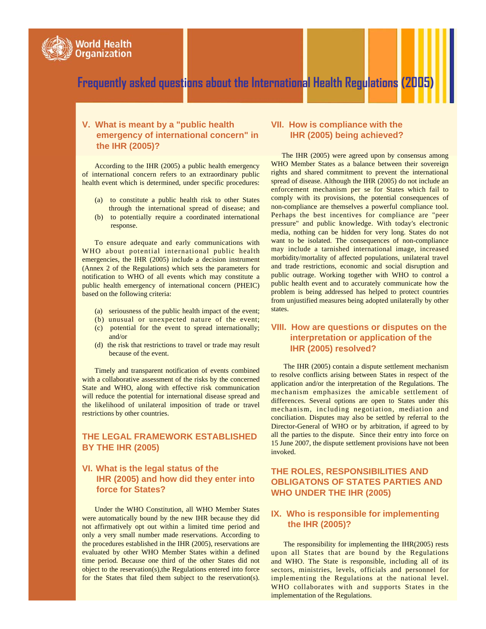

#### **V. What is meant by a "public health emergency of international concern" in the IHR (2005)?**

According to the IHR (2005) a public health emergency of international concern refers to an extraordinary public health event which is determined, under specific procedures:

- (a) to constitute a public health risk to other States through the international spread of disease; and
- (b) to potentially require a coordinated international response.

To ensure adequate and early communications with WHO about potential international public health emergencies, the IHR (2005) include a decision instrument (Annex 2 of the Regulations) which sets the parameters for notification to WHO of all events which may constitute a public health emergency of international concern (PHEIC) based on the following criteria:

- (a) seriousness of the public health impact of the event;
- (b) unusual or unexpected nature of the event; (c) potential for the event to spread internationally;
- and/or (d) the risk that restrictions to travel or trade may result because of the event.

Timely and transparent notification of events combined with a collaborative assessment of the risks by the concerned State and WHO, along with effective risk communication will reduce the potential for international disease spread and the likelihood of unilateral imposition of trade or travel restrictions by other countries.

## **THE LEGAL FRAMEWORK ESTABLISHED BY THE IHR (2005)**

## **VI. What is the legal status of the IHR (2005) and how did they enter into force for States?**

Under the WHO Constitution, all WHO Member States were automatically bound by the new IHR because they did not affirmatively opt out within a limited time period and only a very small number made reservations. According to the procedures established in the IHR (2005), reservations are evaluated by other WHO Member States within a defined time period. Because one third of the other States did not object to the reservation(s),the Regulations entered into force for the States that filed them subject to the reservation(s).

### **VII. How is compliance with the IHR (2005) being achieved?**

The IHR (2005) were agreed upon by consensus among WHO Member States as a balance between their sovereign rights and shared commitment to prevent the international spread of disease. Although the IHR (2005) do not include an enforcement mechanism per se for States which fail to comply with its provisions, the potential consequences of non-compliance are themselves a powerful compliance tool. Perhaps the best incentives for compliance are "peer pressure" and public knowledge. With today's electronic media, nothing can be hidden for very long. States do not want to be isolated. The consequences of non-compliance may include a tarnished international image, increased morbidity/mortality of affected populations, unilateral travel and trade restrictions, economic and social disruption and public outrage. Working together with WHO to control a public health event and to accurately communicate how the problem is being addressed has helped to protect countries from unjustified measures being adopted unilaterally by other states.

### **VIII. How are questions or disputes on the interpretation or application of the IHR (2005) resolved?**

The IHR (2005) contain a dispute settlement mechanism to resolve conflicts arising between States in respect of the application and/or the interpretation of the Regulations. The mechanism emphasizes the amicable settlement of differences. Several options are open to States under this mechanism, including negotiation, mediation and conciliation. Disputes may also be settled by referral to the Director-General of WHO or by arbitration, if agreed to by all the parties to the dispute. Since their entry into force on 15 June 2007, the dispute settlement provisions have not been invoked.

## **THE ROLES, RESPONSIBILITIES AND OBLIGATONS OF STATES PARTIES AND WHO UNDER THE IHR (2005)**

### **IX. Who is responsible for implementing the IHR (2005)?**

The responsibility for implementing the IHR(2005) rests upon all States that are bound by the Regulations and WHO. The State is responsible, including all of its sectors, ministries, levels, officials and personnel for implementing the Regulations at the national level. WHO collaborates with and supports States in the implementation of the Regulations.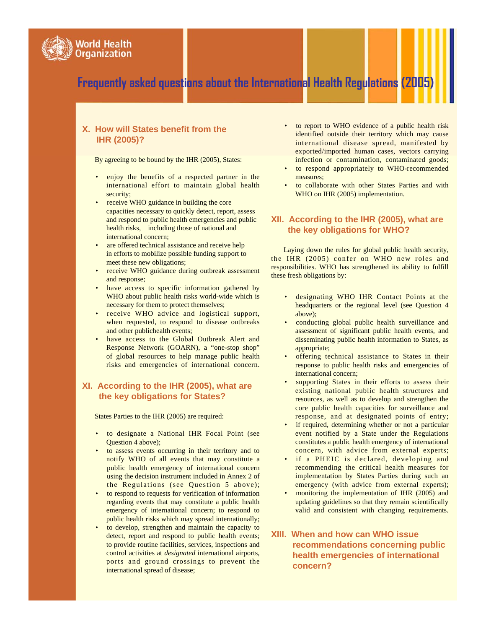

## **X. How will States benefit from the IHR (2005)?**

By agreeing to be bound by the IHR (2005), States:

- enjoy the benefits of a respected partner in the international effort to maintain global health security;
- receive WHO guidance in building the core capacities necessary to quickly detect, report, assess and respond to public health emergencies and public health risks, including those of national and international concern;
- are offered technical assistance and receive help in efforts to mobilize possible funding support to meet these new obligations;
- receive WHO guidance during outbreak assessment and response;
- have access to specific information gathered by WHO about public health risks world-wide which is necessary for them to protect themselves;
- receive WHO advice and logistical support, when requested, to respond to disease outbreaks and other publichealth events;
- have access to the Global Outbreak Alert and Response Network (GOARN), a "one-stop shop" of global resources to help manage public health risks and emergencies of international concern.

## **XI. According to the IHR (2005), what are the key obligations for States?**

States Parties to the IHR (2005) are required:

- to designate a National IHR Focal Point (see Question 4 above);
- to assess events occurring in their territory and to notify WHO of all events that may constitute a public health emergency of international concern using the decision instrument included in Annex 2 of the Regulations (see Question 5 above);
- to respond to requests for verification of information regarding events that may constitute a public health emergency of international concern; to respond to public health risks which may spread internationally;
- to develop, strengthen and maintain the capacity to detect, report and respond to public health events; to provide routine facilities, services, inspections and control activities at *designated* international airports, ports and ground crossings to prevent the international spread of disease;
- to report to WHO evidence of a public health risk identified outside their territory which may cause international disease spread, manifested by exported/imported human cases, vectors carrying infection or contamination, contaminated goods;
- to respond appropriately to WHO-recommended measures;
- to collaborate with other States Parties and with WHO on IHR (2005) implementation.

## **XII. According to the IHR (2005), what are the key obligations for WHO?**

Laying down the rules for global public health security, the IHR (2005) confer on WHO new roles and responsibilities. WHO has strengthened its ability to fulfill these fresh obligations by:

- designating WHO IHR Contact Points at the headquarters or the regional level (see Question 4 above);
- conducting global public health surveillance and assessment of significant public health events, and disseminating public health information to States, as appropriate;
- offering technical assistance to States in their response to public health risks and emergencies of international concern;
- supporting States in their efforts to assess their existing national public health structures and resources, as well as to develop and strengthen the core public health capacities for surveillance and response, and at designated points of entry;
- if required, determining whether or not a particular event notified by a State under the Regulations constitutes a public health emergency of international concern, with advice from external experts;
- if a PHEIC is declared, developing and recommending the critical health measures for implementation by States Parties during such an emergency (with advice from external experts);
- monitoring the implementation of IHR (2005) and updating guidelines so that they remain scientifically valid and consistent with changing requirements.

## **XIII. When and how can WHO issue recommendations concerning public health emergencies of international concern?**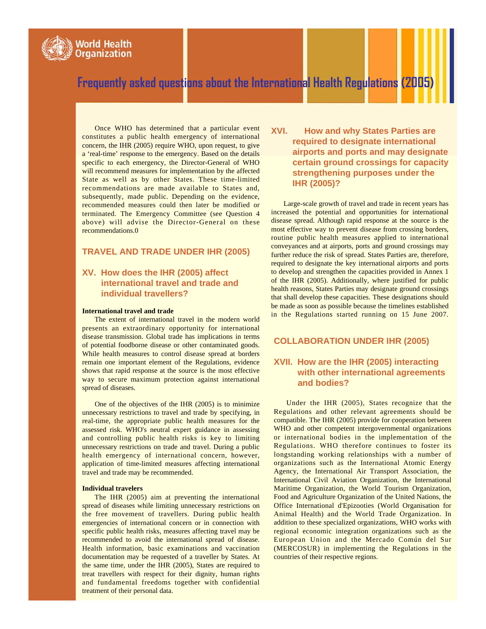

Once WHO has determined that a particular event constitutes a public health emergency of international concern, the IHR (2005) require WHO, upon request, to give a 'real-time' response to the emergency. Based on the details specific to each emergency, the Director-General of WHO will recommend measures for implementation by the affected State as well as by other States. These time-limited recommendations are made available to States and, subsequently, made public. Depending on the evidence, recommended measures could then later be modified or terminated. The Emergency Committee (see Question 4 above) will advise the Director-General on these recommendations.0

#### **TRAVEL AND TRADE UNDER IHR (2005)**

### **XV. How does the IHR (2005) affect international travel and trade and individual travellers?**

#### **International travel and trade**

The extent of international travel in the modern world presents an extraordinary opportunity for international disease transmission. Global trade has implications in terms of potential foodborne disease or other contaminated goods. While health measures to control disease spread at borders remain one important element of the Regulations, evidence shows that rapid response at the source is the most effective way to secure maximum protection against international spread of diseases.

One of the objectives of the IHR (2005) is to minimize unnecessary restrictions to travel and trade by specifying, in real-time, the appropriate public health measures for the assessed risk. WHO's neutral expert guidance in assessing and controlling public health risks is key to limiting unnecessary restrictions on trade and travel. During a public health emergency of international concern, however, application of time-limited measures affecting international travel and trade may be recommended.

#### **Individual travelers**

The IHR (2005) aim at preventing the international spread of diseases while limiting unnecessary restrictions on the free movement of travellers. During public health emergencies of international concern or in connection with specific public health risks, measures affecting travel may be recommended to avoid the international spread of disease. Health information, basic examinations and vaccination documentation may be requested of a traveller by States. At the same time, under the IHR (2005), States are required to treat travellers with respect for their dignity, human rights and fundamental freedoms together with confidential treatment of their personal data.

**XVI. How and why States Parties are required to designate international airports and ports and may designate certain ground crossings for capacity strengthening purposes under the IHR (2005)?**

Large-scale growth of travel and trade in recent years has increased the potential and opportunities for international disease spread. Although rapid response at the source is the most effective way to prevent disease from crossing borders, routine public health measures applied to international conveyances and at airports, ports and ground crossings may further reduce the risk of spread. States Parties are, therefore, required to designate the key international airports and ports to develop and strengthen the capacities provided in Annex 1 of the IHR (2005). Additionally, where justified for public health reasons, States Parties may designate ground crossings that shall develop these capacities. These designations should be made as soon as possible because the timelines established in the Regulations started running on 15 June 2007.

#### **COLLABORATION UNDER IHR (2005)**

## **XVII. How are the IHR (2005) interacting with other international agreements and bodies?**

Under the IHR (2005), States recognize that the Regulations and other relevant agreements should be compatible. The IHR (2005) provide for cooperation between WHO and other competent intergovernmental organizations or international bodies in the implementation of the Regulations. WHO therefore continues to foster its longstanding working relationships with a number of organizations such as the International Atomic Energy Agency, the International Air Transport Association, the International Civil Aviation Organization, the International Maritime Organization, the World Tourism Organization, Food and Agriculture Organization of the United Nations, the Office International d'Epizooties (World Organisation for Animal Health) and the World Trade Organization. In addition to these specialized organizations, WHO works with regional economic integration organizations such as the European Union and the Mercado Común del Sur (MERCOSUR) in implementing the Regulations in the countries of their respective regions.